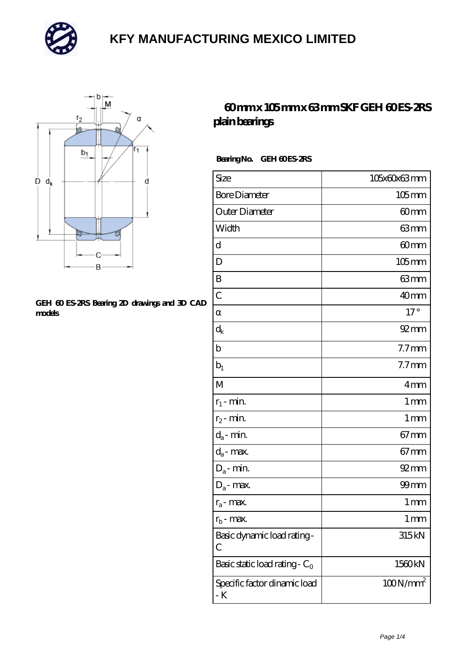



#### **[GEH 60 ES-2RS Bearing 2D drawings and 3D CAD](https://m.mailemotion.tv/pic-415104.html) [models](https://m.mailemotion.tv/pic-415104.html)**

### **[60 mm x 105 mm x 63 mm SKF GEH 60 ES-2RS](https://m.mailemotion.tv/ar-415104-skf-geh-60-es-2rs-plain-bearings.html) [plain bearings](https://m.mailemotion.tv/ar-415104-skf-geh-60-es-2rs-plain-bearings.html)**

### Bearing No. GEH 60 ES-2RS

| Size                                | 105x60x63mm        |
|-------------------------------------|--------------------|
| <b>Bore Diameter</b>                | $105$ mm           |
| Outer Diameter                      | 60 <sub>mm</sub>   |
| Width                               | 63mm               |
| d                                   | 60mm               |
| D                                   | $105$ mm           |
| B                                   | 63mm               |
| $\overline{C}$                      | 40mm               |
|                                     | $17^{\circ}$       |
| $\rm{d_k}$                          | $92$ <sub>mm</sub> |
| b                                   | $7.7$ mm           |
| $b_1$                               | $7.7$ mm           |
| $\mathbf{M}$                        | 4mm                |
| $r_1$ - min.                        | $1 \,\mathrm{mm}$  |
| $r_2$ - min.                        | 1 <sub>mm</sub>    |
| $d_a$ - min.                        | $67 \text{mm}$     |
| $d_a$ - max.                        | $67 \text{mm}$     |
| $D_a$ - min.                        | $92 \text{mm}$     |
| $D_a$ - max.                        | $99$ mm            |
| $r_a$ - max.                        | 1 mm               |
| $r_{b}$ - max.                      | 1 mm               |
| Basic dynamic load rating-<br>С     | 315kN              |
| Basic static load rating - $C_0$    | 1560kN             |
| Specific factor dinamic load<br>- K | $100N/mm^2$        |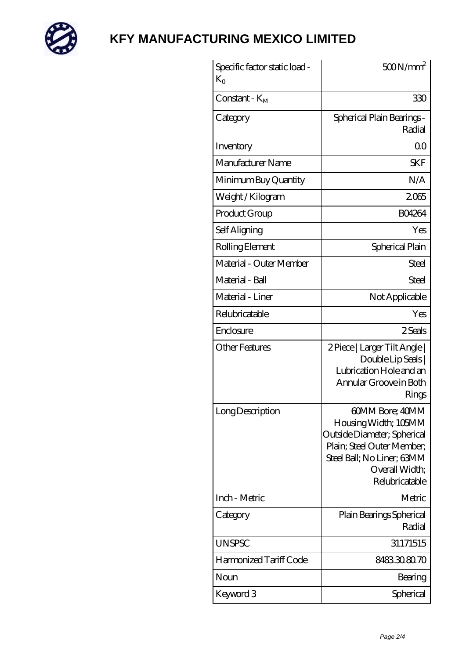

| $K_{O}$                 | $500N/mm^2$                                                                                                                                                            |
|-------------------------|------------------------------------------------------------------------------------------------------------------------------------------------------------------------|
| $Constant - KM$         | 330                                                                                                                                                                    |
| Category                | Spherical Plain Bearings -<br>Radial                                                                                                                                   |
| Inventory               | 0 <sup>0</sup>                                                                                                                                                         |
| Manufacturer Name       | SKF                                                                                                                                                                    |
| Minimum Buy Quantity    | N/A                                                                                                                                                                    |
| Weight / Kilogram       | 2065                                                                                                                                                                   |
| Product Group           | <b>BO4264</b>                                                                                                                                                          |
| Self Aligning           | Yes                                                                                                                                                                    |
| Rolling Element         | Spherical Plain                                                                                                                                                        |
| Material - Outer Member | <b>Steel</b>                                                                                                                                                           |
| Material - Ball         | Steel                                                                                                                                                                  |
| Material - Liner        | Not Applicable                                                                                                                                                         |
| Relubricatable          | Yes                                                                                                                                                                    |
| Enclosure               | 2 Seals                                                                                                                                                                |
| <b>Other Features</b>   | 2 Piece   Larger Tilt Angle  <br>Double Lip Seals  <br>Lubrication Hole and an<br>Annular Groove in Both<br>Rings                                                      |
| Long Description        | 60MM Bore; 40MM<br>Housing Width; 105MM<br>Outside Diameter; Spherical<br>Plain; Steel Outer Member;<br>Steel Ball; No Liner; 63MM<br>Overall Width;<br>Relubricatable |
| Inch - Metric           | Metric                                                                                                                                                                 |
| Category                | Plain Bearings Spherical<br>Radial                                                                                                                                     |
| <b>UNSPSC</b>           | 31171515                                                                                                                                                               |
| Harmonized Tariff Code  | 8483308070                                                                                                                                                             |
| Noun                    | Bearing                                                                                                                                                                |
| Keyword 3               | Spherical                                                                                                                                                              |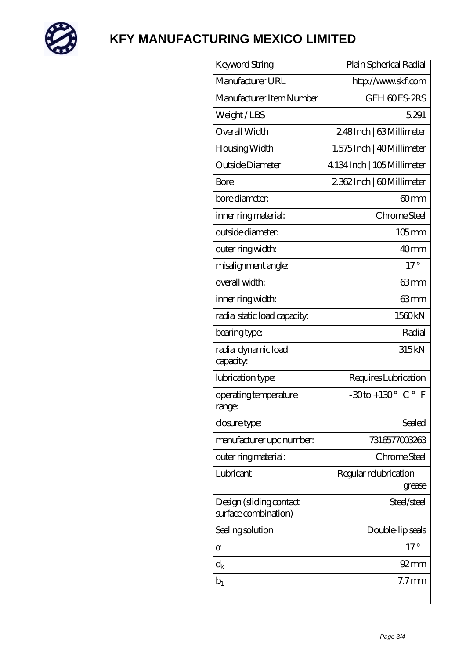

| Keyword String                                  | Plain Spherical Radial                      |
|-------------------------------------------------|---------------------------------------------|
| Manufacturer URL                                | http://www.skf.com                          |
| Manufacturer Item Number                        | GEH 60ES-2RS                                |
| Weight/LBS                                      | 5.291                                       |
| Overall Width                                   | 248Inch   63Millimeter                      |
| Housing Width                                   | 1.575 Inch   40 Millimeter                  |
| Outside Diameter                                | 4134 Inch   105 Millimeter                  |
| Bore                                            | 2362Inch   60Millimeter                     |
| bore diameter:                                  | 60mm                                        |
| inner ring material:                            | Chrome Steel                                |
| outside diameter:                               | $105$ mm                                    |
| outer ring width:                               | 40 <sub>mm</sub>                            |
| misalignment angle:                             | $17^\circ$                                  |
| overall width:                                  | 63mm                                        |
| inner ring width:                               | 63mm                                        |
| radial static load capacity:                    | 1560kN                                      |
| bearing type:                                   | Radial                                      |
| radial dynamic load<br>capacity:                | 315 <sub>kN</sub>                           |
| lubrication type:                               | Requires Lubrication                        |
| operating temperature<br>range:                 | $-30$ to + 130 $^{\circ}$ C $^{\circ}$<br>F |
| closure type:                                   | Sealed                                      |
| manufacturer upc number:                        | 7316577003263                               |
| outer ring material:                            | Chrome Steel                                |
| Lubricant                                       | Regular relubrication-<br>grease            |
| Design (sliding contact<br>surface combination) | Steel/steel                                 |
| Sealing solution                                | Double-lip seals                            |
|                                                 | $17^{\circ}$                                |
| $\rm d_k$                                       | $92 \text{mm}$                              |
| $b_1$                                           | 7.7 <sub>mm</sub>                           |
|                                                 |                                             |